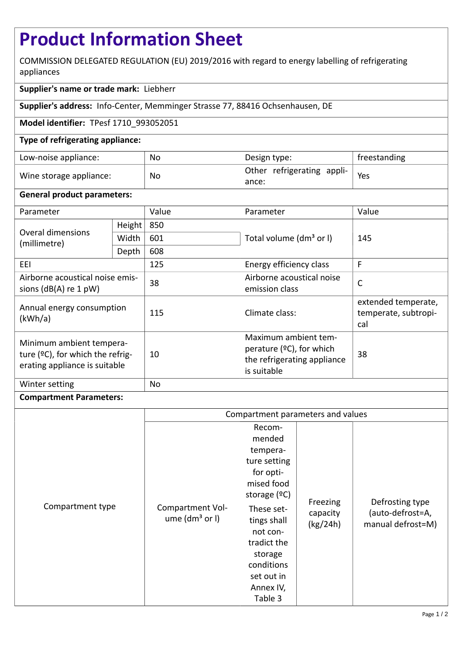# **Product Information Sheet**

COMMISSION DELEGATED REGULATION (EU) 2019/2016 with regard to energy labelling of refrigerating appliances

## **Supplier's name or trade mark:** Liebherr

**Supplier's address:** Info-Center, Memminger Strasse 77, 88416 Ochsenhausen, DE

### **Model identifier:** TPesf 1710\_993052051

### **Type of refrigerating appliance:**

| Low-noise appliance:    | No | Design type:                                            | freestanding |
|-------------------------|----|---------------------------------------------------------|--------------|
| Wine storage appliance: | No | $_1$ Other refrigerating appli- $\overline{ }$<br>ance: | Yes          |

#### **General product parameters:**

| Parameter                                                                                        |        | Value | Parameter                                                                                         | Value                                              |  |
|--------------------------------------------------------------------------------------------------|--------|-------|---------------------------------------------------------------------------------------------------|----------------------------------------------------|--|
| <b>Overal dimensions</b><br>(millimetre)                                                         | Height | 850   |                                                                                                   | 145                                                |  |
|                                                                                                  | Width  | 601   | Total volume (dm <sup>3</sup> or I)                                                               |                                                    |  |
|                                                                                                  | Depth  | 608   |                                                                                                   |                                                    |  |
| EEI                                                                                              |        | 125   | Energy efficiency class                                                                           | F                                                  |  |
| Airborne acoustical noise emis-<br>sions $(dB(A)$ re 1 pW)                                       |        | 38    | Airborne acoustical noise<br>emission class                                                       | $\mathsf{C}$                                       |  |
| Annual energy consumption<br>(kWh/a)                                                             |        | 115   | Climate class:                                                                                    | extended temperate,<br>temperate, subtropi-<br>cal |  |
| Minimum ambient tempera-<br>ture $(2C)$ , for which the refrig-<br>erating appliance is suitable |        | 10    | Maximum ambient tem-<br>perature $(°C)$ , for which<br>the refrigerating appliance<br>is suitable | 38                                                 |  |
| Winter setting                                                                                   |        | No    |                                                                                                   |                                                    |  |

#### **Compartment Parameters:**

|                  | Compartment parameters and values    |                                                                                                                                                                                                                |                                  |                                                          |
|------------------|--------------------------------------|----------------------------------------------------------------------------------------------------------------------------------------------------------------------------------------------------------------|----------------------------------|----------------------------------------------------------|
| Compartment type | Compartment Vol-<br>ume $(dm3$ or I) | Recom-<br>mended<br>tempera-<br>ture setting<br>for opti-<br>mised food<br>storage (ºC)<br>These set-<br>tings shall<br>not con-<br>tradict the<br>storage<br>conditions<br>set out in<br>Annex IV,<br>Table 3 | Freezing<br>capacity<br>(kg/24h) | Defrosting type<br>(auto-defrost=A,<br>manual defrost=M) |